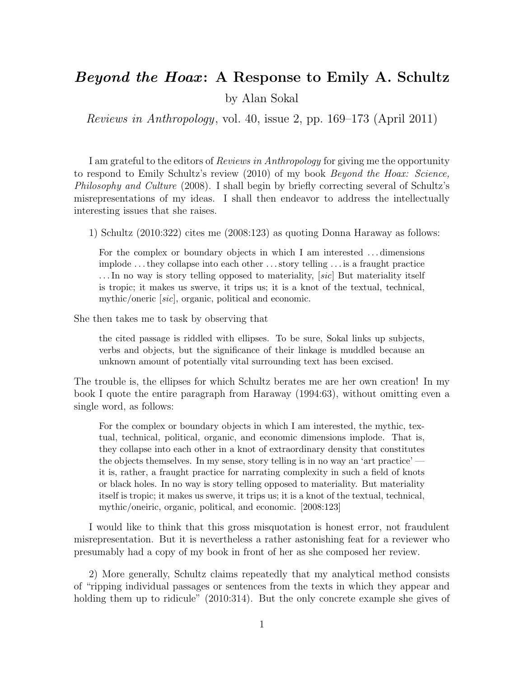## Beyond the Hoax: A Response to Emily A. Schultz

by Alan Sokal

Reviews in Anthropology, vol. 40, issue 2, pp. 169–173 (April 2011)

I am grateful to the editors of Reviews in Anthropology for giving me the opportunity to respond to Emily Schultz's review (2010) of my book Beyond the Hoax: Science, Philosophy and Culture (2008). I shall begin by briefly correcting several of Schultz's misrepresentations of my ideas. I shall then endeavor to address the intellectually interesting issues that she raises.

1) Schultz (2010:322) cites me (2008:123) as quoting Donna Haraway as follows:

For the complex or boundary objects in which I am interested . . . dimensions implode . . . they collapse into each other . . . story telling . . . is a fraught practice ... In no way is story telling opposed to materiality, *sic* But materiality itself is tropic; it makes us swerve, it trips us; it is a knot of the textual, technical, mythic/oneric [sic], organic, political and economic.

She then takes me to task by observing that

the cited passage is riddled with ellipses. To be sure, Sokal links up subjects, verbs and objects, but the significance of their linkage is muddled because an unknown amount of potentially vital surrounding text has been excised.

The trouble is, the ellipses for which Schultz berates me are her own creation! In my book I quote the entire paragraph from Haraway (1994:63), without omitting even a single word, as follows:

For the complex or boundary objects in which I am interested, the mythic, textual, technical, political, organic, and economic dimensions implode. That is, they collapse into each other in a knot of extraordinary density that constitutes the objects themselves. In my sense, story telling is in no way an 'art practice' it is, rather, a fraught practice for narrating complexity in such a field of knots or black holes. In no way is story telling opposed to materiality. But materiality itself is tropic; it makes us swerve, it trips us; it is a knot of the textual, technical, mythic/oneiric, organic, political, and economic. [2008:123]

I would like to think that this gross misquotation is honest error, not fraudulent misrepresentation. But it is nevertheless a rather astonishing feat for a reviewer who presumably had a copy of my book in front of her as she composed her review.

2) More generally, Schultz claims repeatedly that my analytical method consists of "ripping individual passages or sentences from the texts in which they appear and holding them up to ridicule" (2010:314). But the only concrete example she gives of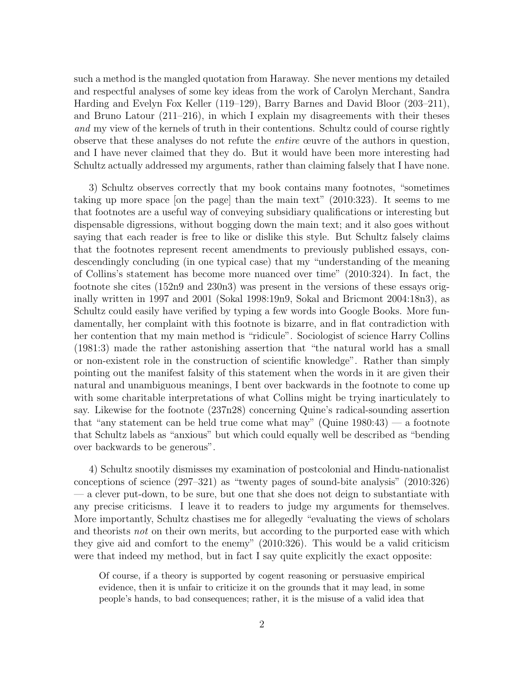such a method is the mangled quotation from Haraway. She never mentions my detailed and respectful analyses of some key ideas from the work of Carolyn Merchant, Sandra Harding and Evelyn Fox Keller (119–129), Barry Barnes and David Bloor (203–211), and Bruno Latour (211–216), in which I explain my disagreements with their theses and my view of the kernels of truth in their contentions. Schultz could of course rightly observe that these analyses do not refute the entire œuvre of the authors in question, and I have never claimed that they do. But it would have been more interesting had Schultz actually addressed my arguments, rather than claiming falsely that I have none.

3) Schultz observes correctly that my book contains many footnotes, "sometimes taking up more space [on the page] than the main text" (2010:323). It seems to me that footnotes are a useful way of conveying subsidiary qualifications or interesting but dispensable digressions, without bogging down the main text; and it also goes without saying that each reader is free to like or dislike this style. But Schultz falsely claims that the footnotes represent recent amendments to previously published essays, condescendingly concluding (in one typical case) that my "understanding of the meaning of Collins's statement has become more nuanced over time" (2010:324). In fact, the footnote she cites (152n9 and 230n3) was present in the versions of these essays originally written in 1997 and 2001 (Sokal 1998:19n9, Sokal and Bricmont 2004:18n3), as Schultz could easily have verified by typing a few words into Google Books. More fundamentally, her complaint with this footnote is bizarre, and in flat contradiction with her contention that my main method is "ridicule". Sociologist of science Harry Collins (1981:3) made the rather astonishing assertion that "the natural world has a small or non-existent role in the construction of scientific knowledge". Rather than simply pointing out the manifest falsity of this statement when the words in it are given their natural and unambiguous meanings, I bent over backwards in the footnote to come up with some charitable interpretations of what Collins might be trying inarticulately to say. Likewise for the footnote (237n28) concerning Quine's radical-sounding assertion that "any statement can be held true come what may" (Quine 1980:43) — a footnote that Schultz labels as "anxious" but which could equally well be described as "bending over backwards to be generous".

4) Schultz snootily dismisses my examination of postcolonial and Hindu-nationalist conceptions of science (297–321) as "twenty pages of sound-bite analysis" (2010:326) — a clever put-down, to be sure, but one that she does not deign to substantiate with any precise criticisms. I leave it to readers to judge my arguments for themselves. More importantly, Schultz chastises me for allegedly "evaluating the views of scholars and theorists not on their own merits, but according to the purported ease with which they give aid and comfort to the enemy" (2010:326). This would be a valid criticism were that indeed my method, but in fact I say quite explicitly the exact opposite:

Of course, if a theory is supported by cogent reasoning or persuasive empirical evidence, then it is unfair to criticize it on the grounds that it may lead, in some people's hands, to bad consequences; rather, it is the misuse of a valid idea that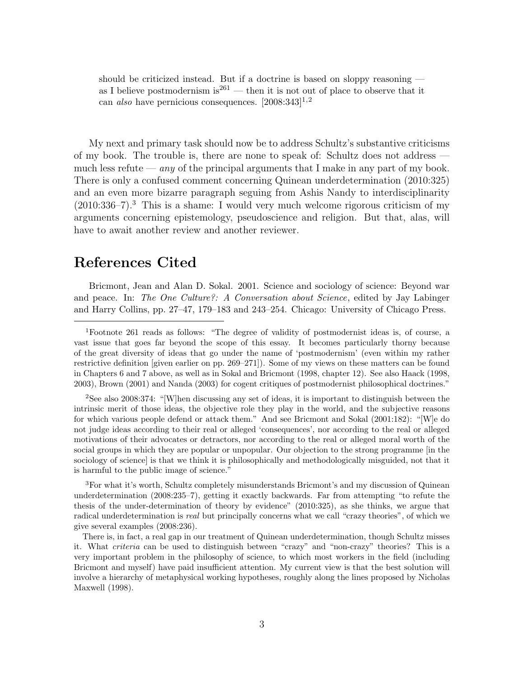should be criticized instead. But if a doctrine is based on sloppy reasoning as I believe postmodernism is  $261$  — then it is not out of place to observe that it can also have pernicious consequences.  $[2008:343]^{1,2}$ 

My next and primary task should now be to address Schultz's substantive criticisms of my book. The trouble is, there are none to speak of: Schultz does not address much less refute — *any* of the principal arguments that I make in any part of my book. There is only a confused comment concerning Quinean underdetermination (2010:325) and an even more bizarre paragraph seguing from Ashis Nandy to interdisciplinarity  $(2010:336-7).$ <sup>3</sup> This is a shame: I would very much welcome rigorous criticism of my arguments concerning epistemology, pseudoscience and religion. But that, alas, will have to await another review and another reviewer.

## References Cited

Bricmont, Jean and Alan D. Sokal. 2001. Science and sociology of science: Beyond war and peace. In: The One Culture?: A Conversation about Science, edited by Jay Labinger and Harry Collins, pp. 27–47, 179–183 and 243–254. Chicago: University of Chicago Press.

<sup>2</sup>See also 2008:374: "[W]hen discussing any set of ideas, it is important to distinguish between the intrinsic merit of those ideas, the objective role they play in the world, and the subjective reasons for which various people defend or attack them." And see Bricmont and Sokal (2001:182): "[W]e do not judge ideas according to their real or alleged 'consequences', nor according to the real or alleged motivations of their advocates or detractors, nor according to the real or alleged moral worth of the social groups in which they are popular or unpopular. Our objection to the strong programme [in the sociology of science] is that we think it is philosophically and methodologically misguided, not that it is harmful to the public image of science."

<sup>3</sup>For what it's worth, Schultz completely misunderstands Bricmont's and my discussion of Quinean underdetermination (2008:235–7), getting it exactly backwards. Far from attempting "to refute the thesis of the under-determination of theory by evidence" (2010:325), as she thinks, we argue that radical underdetermination is real but principally concerns what we call "crazy theories", of which we give several examples (2008:236).

There is, in fact, a real gap in our treatment of Quinean underdetermination, though Schultz misses it. What criteria can be used to distinguish between "crazy" and "non-crazy" theories? This is a very important problem in the philosophy of science, to which most workers in the field (including Bricmont and myself) have paid insufficient attention. My current view is that the best solution will involve a hierarchy of metaphysical working hypotheses, roughly along the lines proposed by Nicholas Maxwell (1998).

<sup>1</sup>Footnote 261 reads as follows: "The degree of validity of postmodernist ideas is, of course, a vast issue that goes far beyond the scope of this essay. It becomes particularly thorny because of the great diversity of ideas that go under the name of 'postmodernism' (even within my rather restrictive definition [given earlier on pp. 269–271]). Some of my views on these matters can be found in Chapters 6 and 7 above, as well as in Sokal and Bricmont (1998, chapter 12). See also Haack (1998, 2003), Brown (2001) and Nanda (2003) for cogent critiques of postmodernist philosophical doctrines."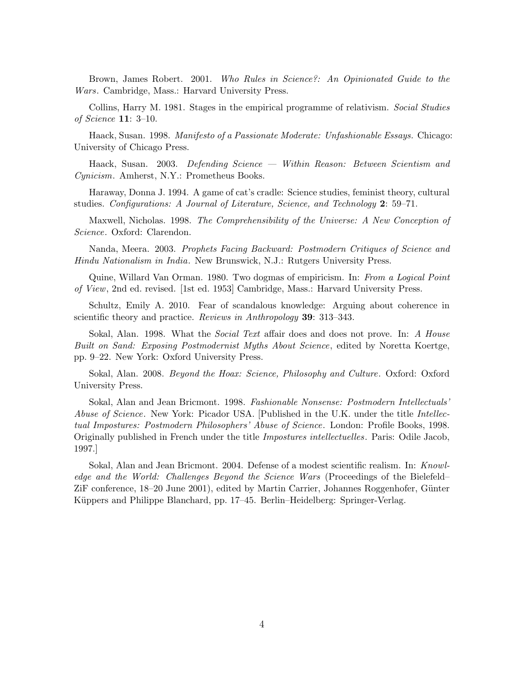Brown, James Robert. 2001. Who Rules in Science?: An Opinionated Guide to the Wars. Cambridge, Mass.: Harvard University Press.

Collins, Harry M. 1981. Stages in the empirical programme of relativism. Social Studies of Science 11: 3–10.

Haack, Susan. 1998. Manifesto of a Passionate Moderate: Unfashionable Essays. Chicago: University of Chicago Press.

Haack, Susan. 2003. Defending Science — Within Reason: Between Scientism and Cynicism. Amherst, N.Y.: Prometheus Books.

Haraway, Donna J. 1994. A game of cat's cradle: Science studies, feminist theory, cultural studies. Configurations: A Journal of Literature, Science, and Technology 2: 59–71.

Maxwell, Nicholas. 1998. The Comprehensibility of the Universe: A New Conception of Science. Oxford: Clarendon.

Nanda, Meera. 2003. Prophets Facing Backward: Postmodern Critiques of Science and Hindu Nationalism in India. New Brunswick, N.J.: Rutgers University Press.

Quine, Willard Van Orman. 1980. Two dogmas of empiricism. In: From a Logical Point of View, 2nd ed. revised. [1st ed. 1953] Cambridge, Mass.: Harvard University Press.

Schultz, Emily A. 2010. Fear of scandalous knowledge: Arguing about coherence in scientific theory and practice. *Reviews in Anthropology* **39**: 313–343.

Sokal, Alan. 1998. What the *Social Text* affair does and does not prove. In: A House Built on Sand: Exposing Postmodernist Myths About Science, edited by Noretta Koertge, pp. 9–22. New York: Oxford University Press.

Sokal, Alan. 2008. Beyond the Hoax: Science, Philosophy and Culture. Oxford: Oxford University Press.

Sokal, Alan and Jean Bricmont. 1998. Fashionable Nonsense: Postmodern Intellectuals' Abuse of Science. New York: Picador USA. [Published in the U.K. under the title Intellectual Impostures: Postmodern Philosophers' Abuse of Science. London: Profile Books, 1998. Originally published in French under the title Impostures intellectuelles. Paris: Odile Jacob, 1997.]

Sokal, Alan and Jean Bricmont. 2004. Defense of a modest scientific realism. In: Knowledge and the World: Challenges Beyond the Science Wars (Proceedings of the Bielefeld– ZiF conference, 18–20 June 2001), edited by Martin Carrier, Johannes Roggenhofer, Günter Küppers and Philippe Blanchard, pp. 17–45. Berlin–Heidelberg: Springer-Verlag.